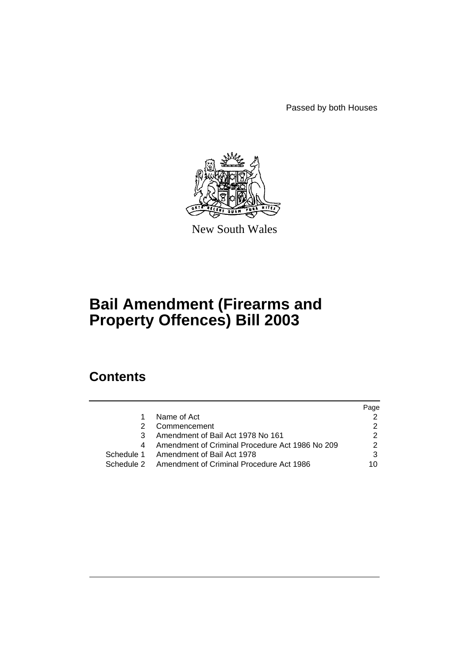Passed by both Houses



New South Wales

# **Bail Amendment (Firearms and Property Offences) Bill 2003**

# **Contents**

| 1 | Name of Act                                         |    |
|---|-----------------------------------------------------|----|
| 2 | Commencement                                        |    |
| 3 | Amendment of Bail Act 1978 No 161                   |    |
| 4 | Amendment of Criminal Procedure Act 1986 No 209     | 2  |
|   | Schedule 1 Amendment of Bail Act 1978               |    |
|   | Schedule 2 Amendment of Criminal Procedure Act 1986 | 10 |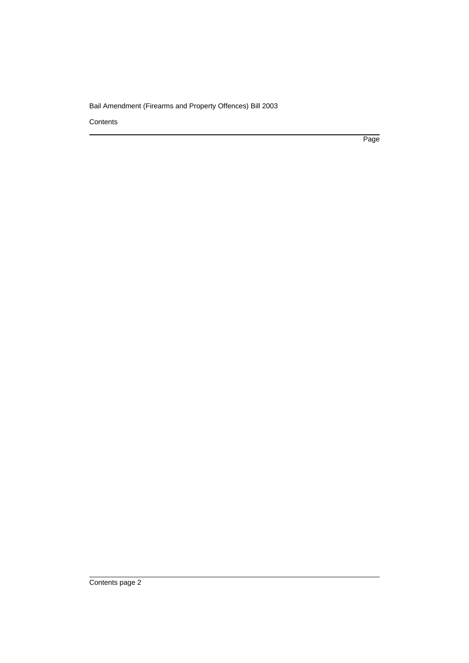**Contents** 

Page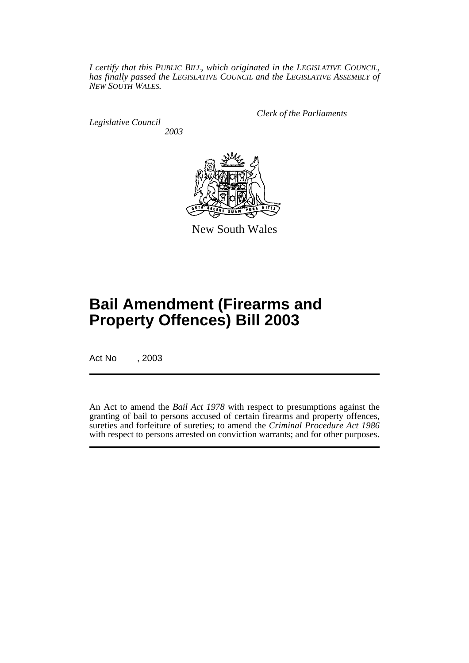*I certify that this PUBLIC BILL, which originated in the LEGISLATIVE COUNCIL, has finally passed the LEGISLATIVE COUNCIL and the LEGISLATIVE ASSEMBLY of NEW SOUTH WALES.*

*Legislative Council 2003* *Clerk of the Parliaments*



New South Wales

# **Bail Amendment (Firearms and Property Offences) Bill 2003**

Act No , 2003

An Act to amend the *Bail Act 1978* with respect to presumptions against the granting of bail to persons accused of certain firearms and property offences, sureties and forfeiture of sureties; to amend the *Criminal Procedure Act 1986* with respect to persons arrested on conviction warrants; and for other purposes.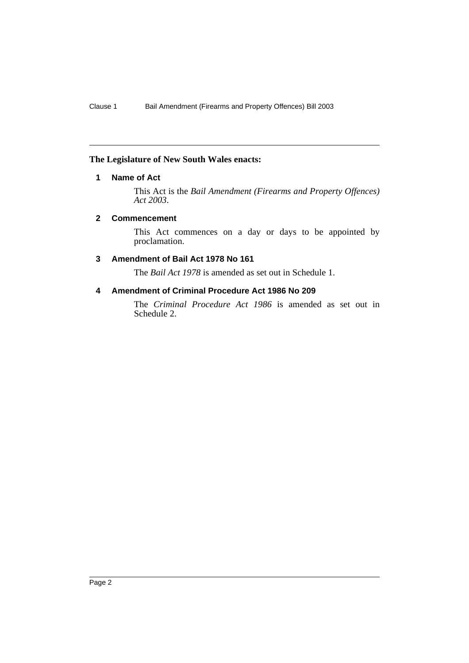## **The Legislature of New South Wales enacts:**

## **1 Name of Act**

This Act is the *Bail Amendment (Firearms and Property Offences) Act 2003*.

#### **2 Commencement**

This Act commences on a day or days to be appointed by proclamation.

#### **3 Amendment of Bail Act 1978 No 161**

The *Bail Act 1978* is amended as set out in Schedule 1.

## **4 Amendment of Criminal Procedure Act 1986 No 209**

The *Criminal Procedure Act 1986* is amended as set out in Schedule 2.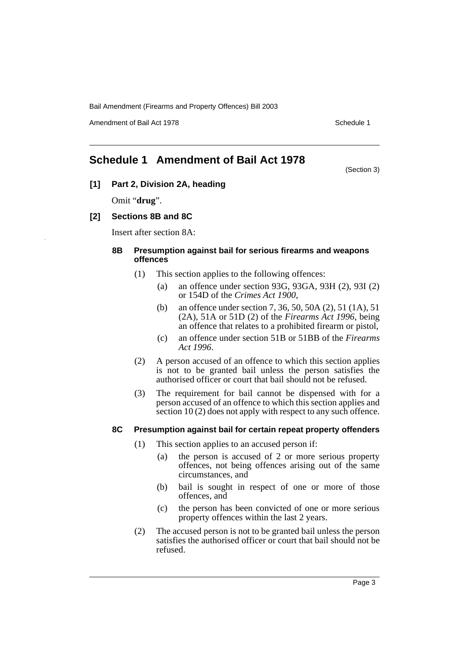Amendment of Bail Act 1978 Schedule 1

(Section 3)

# **Schedule 1 Amendment of Bail Act 1978**

**[1] Part 2, Division 2A, heading** 

Omit "**drug**".

## **[2] Sections 8B and 8C**

Insert after section 8A:

#### **8B Presumption against bail for serious firearms and weapons offences**

- (1) This section applies to the following offences:
	- (a) an offence under section 93G, 93GA, 93H (2), 93I (2) or 154D of the *Crimes Act 1900*,
	- (b) an offence under section 7, 36, 50, 50A (2), 51 (1A), 51 (2A), 51A or 51D (2) of the *Firearms Act 1996*, being an offence that relates to a prohibited firearm or pistol,
	- (c) an offence under section 51B or 51BB of the *Firearms Act 1996*.
- (2) A person accused of an offence to which this section applies is not to be granted bail unless the person satisfies the authorised officer or court that bail should not be refused.
- (3) The requirement for bail cannot be dispensed with for a person accused of an offence to which this section applies and section 10 (2) does not apply with respect to any such offence.

## **8C Presumption against bail for certain repeat property offenders**

- (1) This section applies to an accused person if:
	- (a) the person is accused of 2 or more serious property offences, not being offences arising out of the same circumstances, and
	- (b) bail is sought in respect of one or more of those offences, and
	- (c) the person has been convicted of one or more serious property offences within the last 2 years.
- (2) The accused person is not to be granted bail unless the person satisfies the authorised officer or court that bail should not be refused.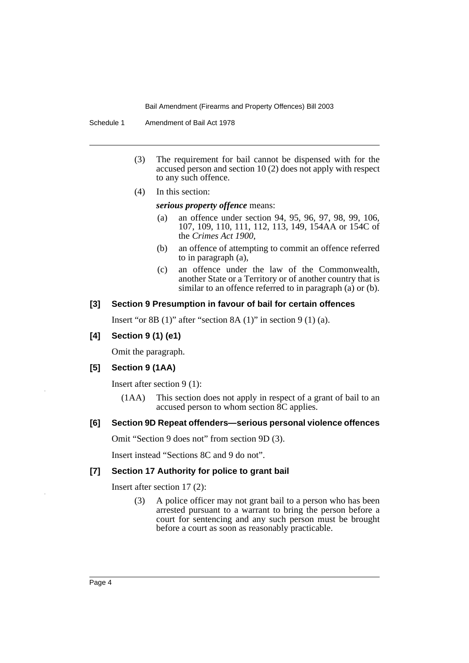Schedule 1 Amendment of Bail Act 1978

- (3) The requirement for bail cannot be dispensed with for the accused person and section 10 (2) does not apply with respect to any such offence.
- (4) In this section:

#### *serious property offence* means:

- (a) an offence under section 94, 95, 96, 97, 98, 99, 106, 107, 109, 110, 111, 112, 113, 149, 154AA or 154C of the *Crimes Act 1900*,
- (b) an offence of attempting to commit an offence referred to in paragraph (a),
- (c) an offence under the law of the Commonwealth, another State or a Territory or of another country that is similar to an offence referred to in paragraph (a) or (b).

#### **[3] Section 9 Presumption in favour of bail for certain offences**

Insert "or 8B  $(1)$ " after "section 8A  $(1)$ " in section 9 $(1)$  $(a)$ .

#### **[4] Section 9 (1) (e1)**

Omit the paragraph.

#### **[5] Section 9 (1AA)**

Insert after section 9 (1):

(1AA) This section does not apply in respect of a grant of bail to an accused person to whom section 8C applies.

#### **[6] Section 9D Repeat offenders—serious personal violence offences**

Omit "Section 9 does not" from section 9D (3).

Insert instead "Sections 8C and 9 do not".

#### **[7] Section 17 Authority for police to grant bail**

Insert after section 17 (2):

(3) A police officer may not grant bail to a person who has been arrested pursuant to a warrant to bring the person before a court for sentencing and any such person must be brought before a court as soon as reasonably practicable.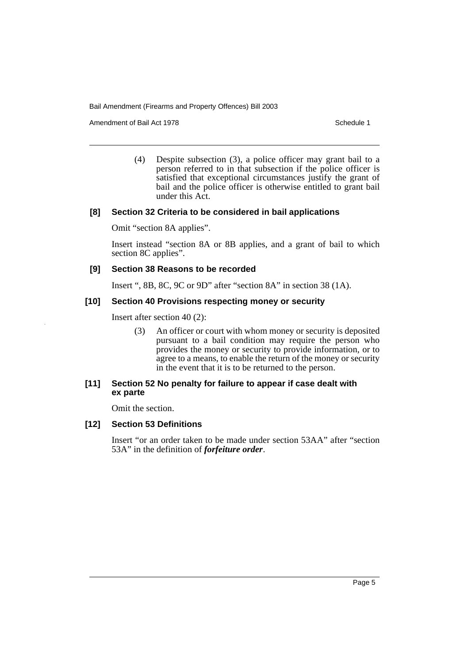Amendment of Bail Act 1978 Schedule 1

(4) Despite subsection (3), a police officer may grant bail to a person referred to in that subsection if the police officer is satisfied that exceptional circumstances justify the grant of bail and the police officer is otherwise entitled to grant bail under this Act.

#### **[8] Section 32 Criteria to be considered in bail applications**

Omit "section 8A applies".

Insert instead "section 8A or 8B applies, and a grant of bail to which section 8C applies".

#### **[9] Section 38 Reasons to be recorded**

Insert ", 8B, 8C, 9C or 9D" after "section 8A" in section 38 (1A).

#### **[10] Section 40 Provisions respecting money or security**

Insert after section 40 (2):

(3) An officer or court with whom money or security is deposited pursuant to a bail condition may require the person who provides the money or security to provide information, or to agree to a means, to enable the return of the money or security in the event that it is to be returned to the person.

#### **[11] Section 52 No penalty for failure to appear if case dealt with ex parte**

Omit the section.

#### **[12] Section 53 Definitions**

Insert "or an order taken to be made under section 53AA" after "section 53A" in the definition of *forfeiture order*.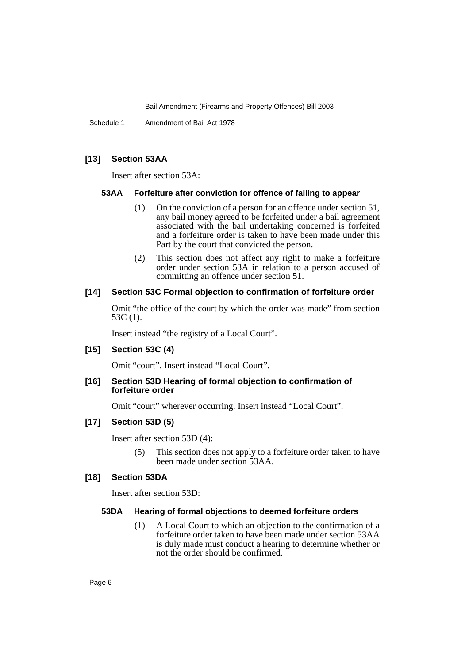Schedule 1 Amendment of Bail Act 1978

## **[13] Section 53AA**

Insert after section 53A:

#### **53AA Forfeiture after conviction for offence of failing to appear**

- (1) On the conviction of a person for an offence under section 51, any bail money agreed to be forfeited under a bail agreement associated with the bail undertaking concerned is forfeited and a forfeiture order is taken to have been made under this Part by the court that convicted the person.
- (2) This section does not affect any right to make a forfeiture order under section 53A in relation to a person accused of committing an offence under section 51.

#### **[14] Section 53C Formal objection to confirmation of forfeiture order**

Omit "the office of the court by which the order was made" from section 53C (1).

Insert instead "the registry of a Local Court".

#### **[15] Section 53C (4)**

Omit "court". Insert instead "Local Court".

#### **[16] Section 53D Hearing of formal objection to confirmation of forfeiture order**

Omit "court" wherever occurring. Insert instead "Local Court".

#### **[17] Section 53D (5)**

Insert after section 53D (4):

(5) This section does not apply to a forfeiture order taken to have been made under section 53AA.

#### **[18] Section 53DA**

Insert after section 53D:

#### **53DA Hearing of formal objections to deemed forfeiture orders**

(1) A Local Court to which an objection to the confirmation of a forfeiture order taken to have been made under section 53AA is duly made must conduct a hearing to determine whether or not the order should be confirmed.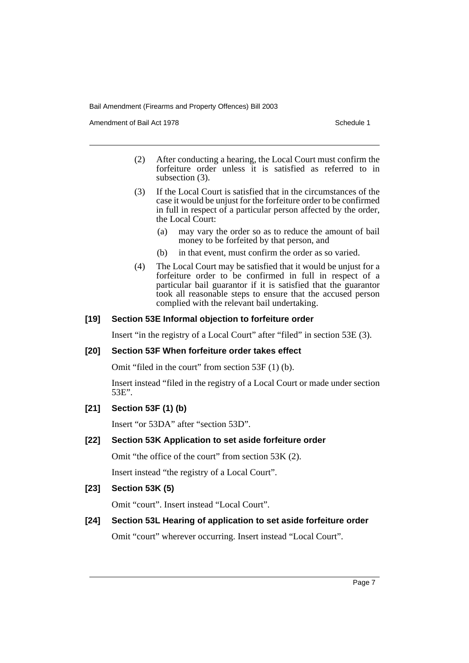Amendment of Bail Act 1978 Schedule 1

- (2) After conducting a hearing, the Local Court must confirm the forfeiture order unless it is satisfied as referred to in subsection (3).
- (3) If the Local Court is satisfied that in the circumstances of the case it would be unjust for the forfeiture order to be confirmed in full in respect of a particular person affected by the order, the Local Court:
	- (a) may vary the order so as to reduce the amount of bail money to be forfeited by that person, and
	- (b) in that event, must confirm the order as so varied.
- (4) The Local Court may be satisfied that it would be unjust for a forfeiture order to be confirmed in full in respect of a particular bail guarantor if it is satisfied that the guarantor took all reasonable steps to ensure that the accused person complied with the relevant bail undertaking.

## **[19] Section 53E Informal objection to forfeiture order**

Insert "in the registry of a Local Court" after "filed" in section 53E (3).

## **[20] Section 53F When forfeiture order takes effect**

Omit "filed in the court" from section 53F (1) (b).

Insert instead "filed in the registry of a Local Court or made under section 53E".

## **[21] Section 53F (1) (b)**

Insert "or 53DA" after "section 53D".

## **[22] Section 53K Application to set aside forfeiture order**

Omit "the office of the court" from section 53K (2).

Insert instead "the registry of a Local Court".

## **[23] Section 53K (5)**

Omit "court". Insert instead "Local Court".

## **[24] Section 53L Hearing of application to set aside forfeiture order**

Omit "court" wherever occurring. Insert instead "Local Court".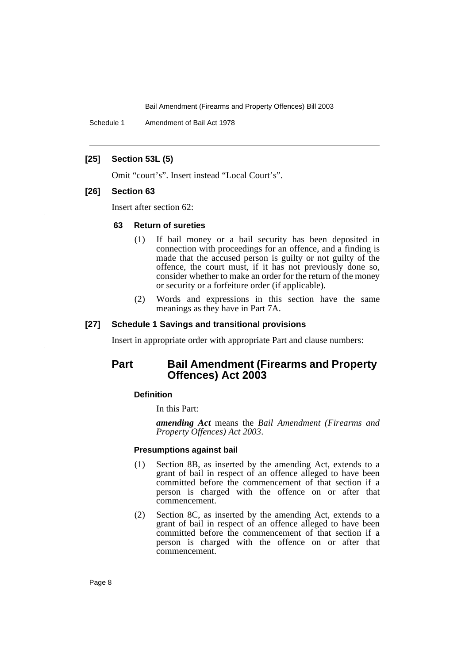Schedule 1 Amendment of Bail Act 1978

### **[25] Section 53L (5)**

Omit "court's". Insert instead "Local Court's".

### **[26] Section 63**

Insert after section 62:

#### **63 Return of sureties**

- (1) If bail money or a bail security has been deposited in connection with proceedings for an offence, and a finding is made that the accused person is guilty or not guilty of the offence, the court must, if it has not previously done so, consider whether to make an order for the return of the money or security or a forfeiture order (if applicable).
- (2) Words and expressions in this section have the same meanings as they have in Part 7A.

## **[27] Schedule 1 Savings and transitional provisions**

Insert in appropriate order with appropriate Part and clause numbers:

## **Part Bail Amendment (Firearms and Property Offences) Act 2003**

#### **Definition**

In this Part:

*amending Act* means the *Bail Amendment (Firearms and Property Offences) Act 2003*.

#### **Presumptions against bail**

- (1) Section 8B, as inserted by the amending Act, extends to a grant of bail in respect of an offence alleged to have been committed before the commencement of that section if a person is charged with the offence on or after that commencement.
- (2) Section 8C, as inserted by the amending Act, extends to a grant of bail in respect of an offence alleged to have been committed before the commencement of that section if a person is charged with the offence on or after that commencement.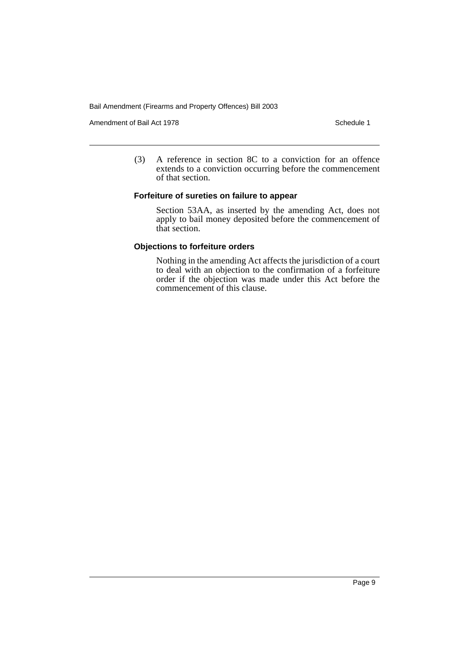Amendment of Bail Act 1978 Schedule 1

(3) A reference in section 8C to a conviction for an offence extends to a conviction occurring before the commencement of that section.

#### **Forfeiture of sureties on failure to appear**

Section 53AA, as inserted by the amending Act, does not apply to bail money deposited before the commencement of that section.

#### **Objections to forfeiture orders**

Nothing in the amending Act affects the jurisdiction of a court to deal with an objection to the confirmation of a forfeiture order if the objection was made under this Act before the commencement of this clause.